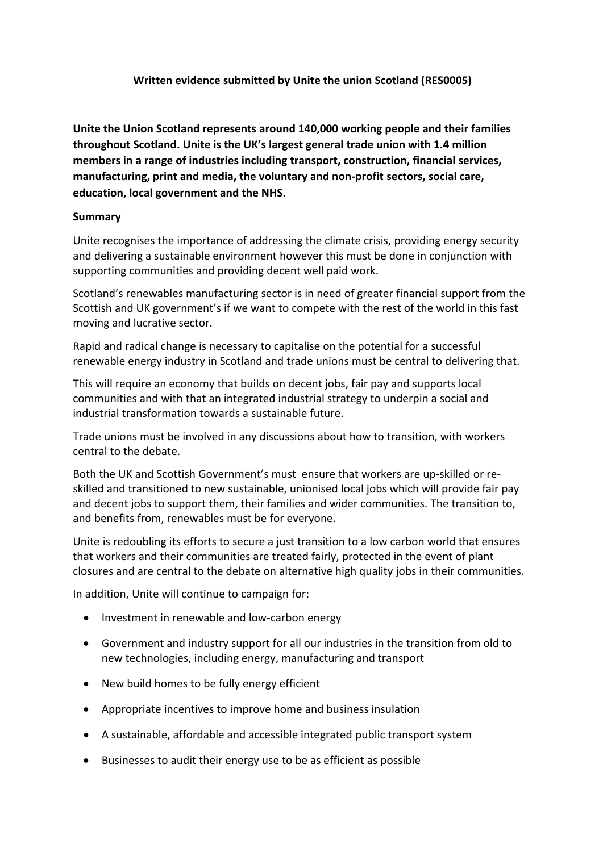### **Written evidence submitted by Unite the union Scotland (RES0005)**

**Unite the Union Scotland represents around 140,000 working people and their families throughout Scotland. Unite is the UK's largest general trade union with 1.4 million members in a range of industries including transport, construction, financial services, manufacturing, print and media, the voluntary and non-profit sectors, social care, education, local government and the NHS.**

### **Summary**

Unite recognises the importance of addressing the climate crisis, providing energy security and delivering a sustainable environment however this must be done in conjunction with supporting communities and providing decent well paid work.

Scotland's renewables manufacturing sector is in need of greater financial support from the Scottish and UK government's if we want to compete with the rest of the world in this fast moving and lucrative sector.

Rapid and radical change is necessary to capitalise on the potential for a successful renewable energy industry in Scotland and trade unions must be central to delivering that.

This will require an economy that builds on decent jobs, fair pay and supports local communities and with that an integrated industrial strategy to underpin a social and industrial transformation towards a sustainable future.

Trade unions must be involved in any discussions about how to transition, with workers central to the debate.

Both the UK and Scottish Government's must ensure that workers are up-skilled or reskilled and transitioned to new sustainable, unionised local jobs which will provide fair pay and decent jobs to support them, their families and wider communities. The transition to, and benefits from, renewables must be for everyone.

Unite is redoubling its efforts to secure a just transition to a low carbon world that ensures that workers and their communities are treated fairly, protected in the event of plant closures and are central to the debate on alternative high quality jobs in their communities.

In addition, Unite will continue to campaign for:

- Investment in renewable and low-carbon energy
- Government and industry support for all our industries in the transition from old to new technologies, including energy, manufacturing and transport
- New build homes to be fully energy efficient
- Appropriate incentives to improve home and business insulation
- A sustainable, affordable and accessible integrated public transport system
- Businesses to audit their energy use to be as efficient as possible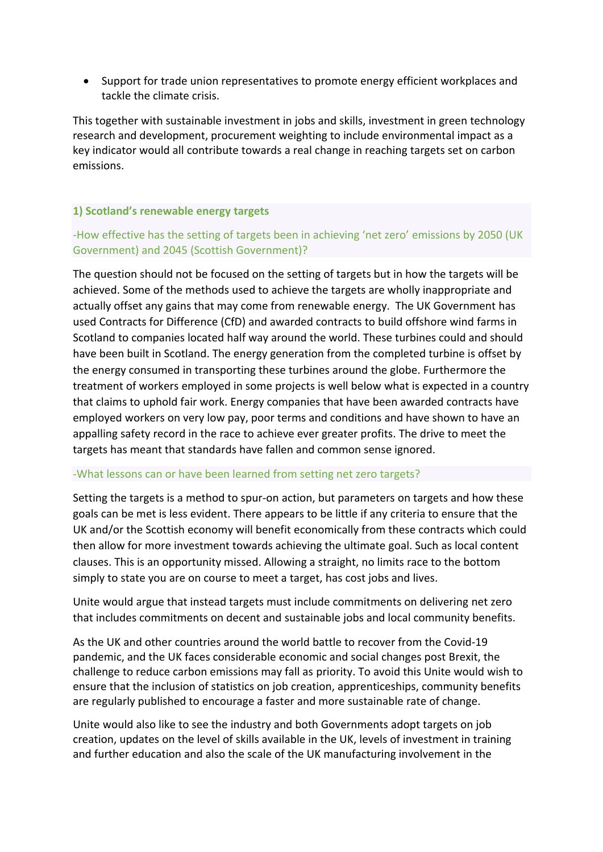Support for trade union representatives to promote energy efficient workplaces and tackle the climate crisis.

This together with sustainable investment in jobs and skills, investment in green technology research and development, procurement weighting to include environmental impact as a key indicator would all contribute towards a real change in reaching targets set on carbon emissions.

#### **1) Scotland's renewable energy targets**

# -How effective has the setting of targets been in achieving 'net zero' emissions by 2050 (UK Government) and 2045 (Scottish Government)?

The question should not be focused on the setting of targets but in how the targets will be achieved. Some of the methods used to achieve the targets are wholly inappropriate and actually offset any gains that may come from renewable energy. The UK Government has used Contracts for Difference (CfD) and awarded contracts to build offshore wind farms in Scotland to companies located half way around the world. These turbines could and should have been built in Scotland. The energy generation from the completed turbine is offset by the energy consumed in transporting these turbines around the globe. Furthermore the treatment of workers employed in some projects is well below what is expected in a country that claims to uphold fair work. Energy companies that have been awarded contracts have employed workers on very low pay, poor terms and conditions and have shown to have an appalling safety record in the race to achieve ever greater profits. The drive to meet the targets has meant that standards have fallen and common sense ignored.

#### -What lessons can or have been learned from setting net zero targets?

Setting the targets is a method to spur-on action, but parameters on targets and how these goals can be met is less evident. There appears to be little if any criteria to ensure that the UK and/or the Scottish economy will benefit economically from these contracts which could then allow for more investment towards achieving the ultimate goal. Such as local content clauses. This is an opportunity missed. Allowing a straight, no limits race to the bottom simply to state you are on course to meet a target, has cost jobs and lives.

Unite would argue that instead targets must include commitments on delivering net zero that includes commitments on decent and sustainable jobs and local community benefits.

As the UK and other countries around the world battle to recover from the Covid-19 pandemic, and the UK faces considerable economic and social changes post Brexit, the challenge to reduce carbon emissions may fall as priority. To avoid this Unite would wish to ensure that the inclusion of statistics on job creation, apprenticeships, community benefits are regularly published to encourage a faster and more sustainable rate of change.

Unite would also like to see the industry and both Governments adopt targets on job creation, updates on the level of skills available in the UK, levels of investment in training and further education and also the scale of the UK manufacturing involvement in the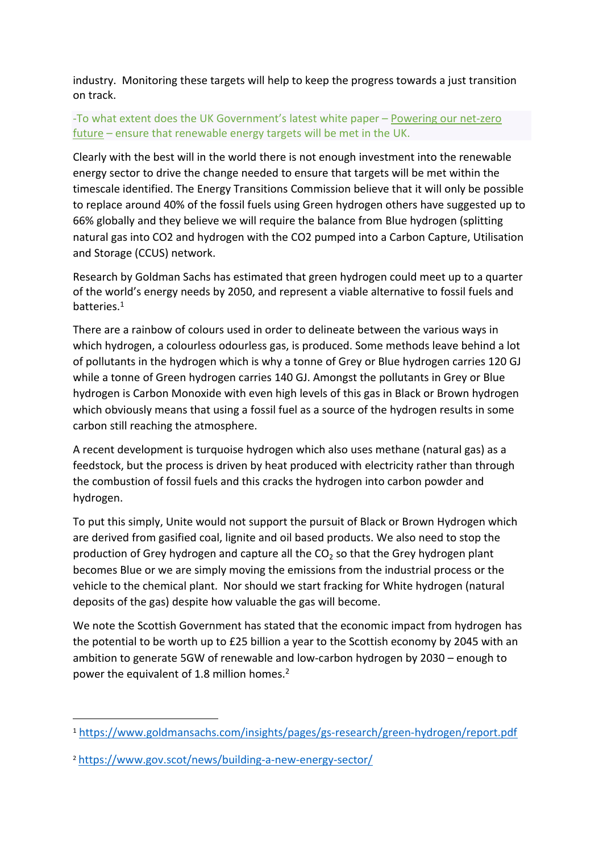industry. Monitoring these targets will help to keep the progress towards a just transition on track.

# -To what extent does the UK Government's latest white paper – [Powering](https://www.gov.uk/government/publications/energy-white-paper-powering-our-net-zero-future) [our](https://www.gov.uk/government/publications/energy-white-paper-powering-our-net-zero-future) [net-zero](https://www.gov.uk/government/publications/energy-white-paper-powering-our-net-zero-future) [future](https://www.gov.uk/government/publications/energy-white-paper-powering-our-net-zero-future) – ensure that renewable energy targets will be met in the UK.

Clearly with the best will in the world there is not enough investment into the renewable energy sector to drive the change needed to ensure that targets will be met within the timescale identified. The Energy Transitions Commission believe that it will only be possible to replace around 40% of the fossil fuels using Green hydrogen others have suggested up to 66% globally and they believe we will require the balance from Blue hydrogen (splitting natural gas into CO2 and hydrogen with the CO2 pumped into a Carbon Capture, Utilisation and Storage (CCUS) network.

Research by Goldman Sachs has estimated that green hydrogen could meet up to a quarter of the world's energy needs by 2050, and represent a viable alternative to fossil fuels and batteries.<sup>1</sup>

There are a rainbow of colours used in order to delineate between the various ways in which hydrogen, a colourless odourless gas, is produced. Some methods leave behind a lot of pollutants in the hydrogen which is why a tonne of Grey or Blue hydrogen carries 120 GJ while a tonne of Green hydrogen carries 140 GJ. Amongst the pollutants in Grey or Blue hydrogen is Carbon Monoxide with even high levels of this gas in Black or Brown hydrogen which obviously means that using a fossil fuel as a source of the hydrogen results in some carbon still reaching the atmosphere.

A recent development is turquoise hydrogen which also uses methane (natural gas) as a feedstock, but the process is driven by heat produced with electricity rather than through the combustion of fossil fuels and this cracks the hydrogen into carbon powder and hydrogen.

To put this simply, Unite would not support the pursuit of Black or Brown Hydrogen which are derived from gasified coal, lignite and oil based products. We also need to stop the production of Grey hydrogen and capture all the  $CO<sub>2</sub>$  so that the Grey hydrogen plant becomes Blue or we are simply moving the emissions from the industrial process or the vehicle to the chemical plant. Nor should we start fracking for White hydrogen (natural deposits of the gas) despite how valuable the gas will become.

We note the Scottish Government has stated that the economic impact from hydrogen has the potential to be worth up to £25 billion a year to the Scottish economy by 2045 with an ambition to generate 5GW of renewable and low-carbon hydrogen by 2030 – enough to power the equivalent of 1.8 million homes.<sup>2</sup>

<sup>1</sup> <https://www.goldmansachs.com/insights/pages/gs-research/green-hydrogen/report.pdf>

<sup>2</sup> <https://www.gov.scot/news/building-a-new-energy-sector/>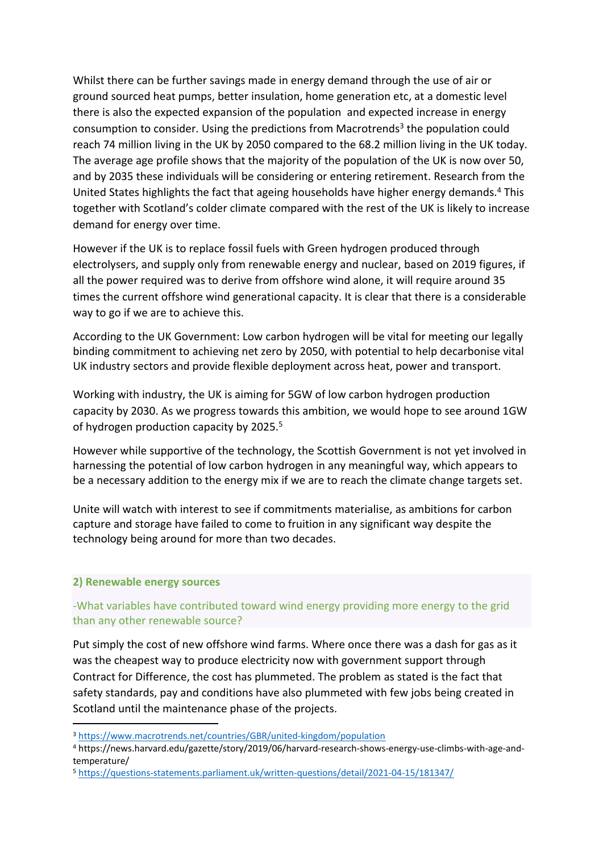Whilst there can be further savings made in energy demand through the use of air or ground sourced heat pumps, better insulation, home generation etc, at a domestic level there is also the expected expansion of the population and expected increase in energy consumption to consider. Using the predictions from Macrotrends<sup>3</sup> the population could reach 74 million living in the UK by 2050 compared to the 68.2 million living in the UK today. The average age profile shows that the majority of the population of the UK is now over 50, and by 2035 these individuals will be considering or entering retirement. Research from the United States highlights the fact that ageing households have higher energy demands.<sup>4</sup> This together with Scotland's colder climate compared with the rest of the UK is likely to increase demand for energy over time.

However if the UK is to replace fossil fuels with Green hydrogen produced through electrolysers, and supply only from renewable energy and nuclear, based on 2019 figures, if all the power required was to derive from offshore wind alone, it will require around 35 times the current offshore wind generational capacity. It is clear that there is a considerable way to go if we are to achieve this.

According to the UK Government: Low carbon hydrogen will be vital for meeting our legally binding commitment to achieving net zero by 2050, with potential to help decarbonise vital UK industry sectors and provide flexible deployment across heat, power and transport.

Working with industry, the UK is aiming for 5GW of low carbon hydrogen production capacity by 2030. As we progress towards this ambition, we would hope to see around 1GW of hydrogen production capacity by 2025.<sup>5</sup>

However while supportive of the technology, the Scottish Government is not yet involved in harnessing the potential of low carbon hydrogen in any meaningful way, which appears to be a necessary addition to the energy mix if we are to reach the climate change targets set.

Unite will watch with interest to see if commitments materialise, as ambitions for carbon capture and storage have failed to come to fruition in any significant way despite the technology being around for more than two decades.

#### **2) Renewable energy sources**

# -What variables have contributed toward wind energy providing more energy to the grid than any other renewable source?

Put simply the cost of new offshore wind farms. Where once there was a dash for gas as it was the cheapest way to produce electricity now with government support through Contract for Difference, the cost has plummeted. The problem as stated is the fact that safety standards, pay and conditions have also plummeted with few jobs being created in Scotland until the maintenance phase of the projects.

<sup>3</sup> <https://www.macrotrends.net/countries/GBR/united-kingdom/population>

<sup>4</sup> https://news.harvard.edu/gazette/story/2019/06/harvard-research-shows-energy-use-climbs-with-age-andtemperature/

<sup>5</sup> <https://questions-statements.parliament.uk/written-questions/detail/2021-04-15/181347/>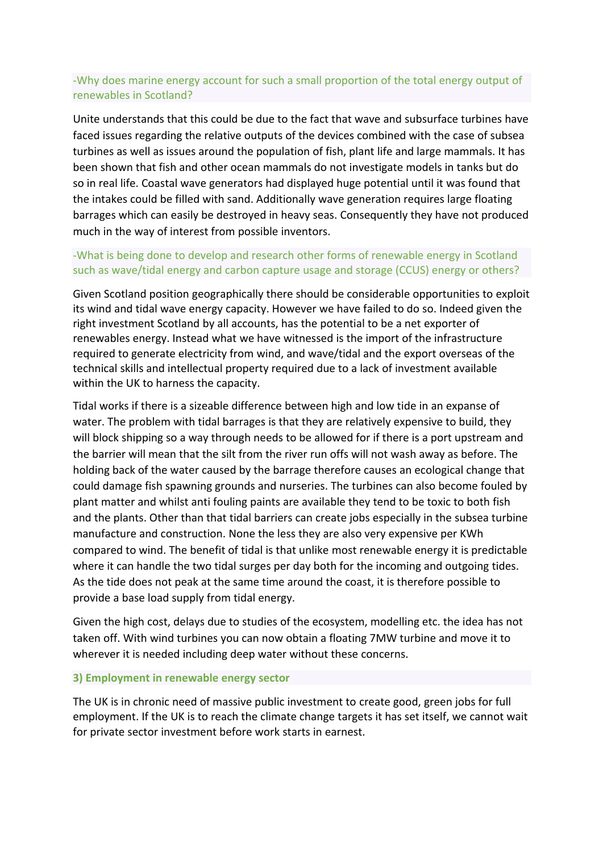## -Why does marine energy account for such a small proportion of the total energy output of renewables in Scotland?

Unite understands that this could be due to the fact that wave and subsurface turbines have faced issues regarding the relative outputs of the devices combined with the case of subsea turbines as well as issues around the population of fish, plant life and large mammals. It has been shown that fish and other ocean mammals do not investigate models in tanks but do so in real life. Coastal wave generators had displayed huge potential until it was found that the intakes could be filled with sand. Additionally wave generation requires large floating barrages which can easily be destroyed in heavy seas. Consequently they have not produced much in the way of interest from possible inventors.

## -What is being done to develop and research other forms of renewable energy in Scotland such as wave/tidal energy and carbon capture usage and storage (CCUS) energy or others?

Given Scotland position geographically there should be considerable opportunities to exploit its wind and tidal wave energy capacity. However we have failed to do so. Indeed given the right investment Scotland by all accounts, has the potential to be a net exporter of renewables energy. Instead what we have witnessed is the import of the infrastructure required to generate electricity from wind, and wave/tidal and the export overseas of the technical skills and intellectual property required due to a lack of investment available within the UK to harness the capacity.

Tidal works if there is a sizeable difference between high and low tide in an expanse of water. The problem with tidal barrages is that they are relatively expensive to build, they will block shipping so a way through needs to be allowed for if there is a port upstream and the barrier will mean that the silt from the river run offs will not wash away as before. The holding back of the water caused by the barrage therefore causes an ecological change that could damage fish spawning grounds and nurseries. The turbines can also become fouled by plant matter and whilst anti fouling paints are available they tend to be toxic to both fish and the plants. Other than that tidal barriers can create jobs especially in the subsea turbine manufacture and construction. None the less they are also very expensive per KWh compared to wind. The benefit of tidal is that unlike most renewable energy it is predictable where it can handle the two tidal surges per day both for the incoming and outgoing tides. As the tide does not peak at the same time around the coast, it is therefore possible to provide a base load supply from tidal energy.

Given the high cost, delays due to studies of the ecosystem, modelling etc. the idea has not taken off. With wind turbines you can now obtain a floating 7MW turbine and move it to wherever it is needed including deep water without these concerns.

#### **3) Employment in renewable energy sector**

The UK is in chronic need of massive public investment to create good, green jobs for full employment. If the UK is to reach the climate change targets it has set itself, we cannot wait for private sector investment before work starts in earnest.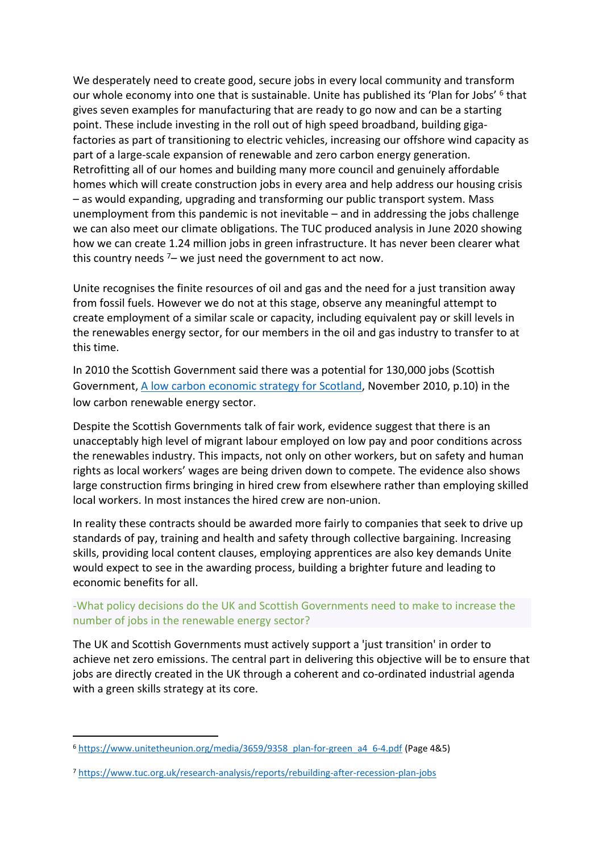We desperately need to create good, secure jobs in every local community and transform our whole economy into one that is sustainable. Unite has published its 'Plan for Jobs' <sup>6</sup> that gives seven examples for manufacturing that are ready to go now and can be a starting point. These include investing in the roll out of high speed broadband, building gigafactories as part of transitioning to electric vehicles, increasing our offshore wind capacity as part of a large-scale expansion of renewable and zero carbon energy generation. Retrofitting all of our homes and building many more council and genuinely affordable homes which will create construction jobs in every area and help address our housing crisis – as would expanding, upgrading and transforming our public transport system. Mass unemployment from this pandemic is not inevitable – and in addressing the jobs challenge we can also meet our climate obligations. The TUC produced analysis in June 2020 showing how we can create 1.24 million jobs in green infrastructure. It has never been clearer what this country needs  $7-$  we just need the government to act now.

Unite recognises the finite resources of oil and gas and the need for a just transition away from fossil fuels. However we do not at this stage, observe any meaningful attempt to create employment of a similar scale or capacity, including equivalent pay or skill levels in the renewables energy sector, for our members in the oil and gas industry to transfer to at this time.

In 2010 the Scottish Government said there was a potential for 130,000 jobs (Scottish Government, [A](https://www.webarchive.org.uk/wayback/archive/3000/https:/www.gov.scot/resource/doc/331364/0107855.pdf) [low](https://www.webarchive.org.uk/wayback/archive/3000/https:/www.gov.scot/resource/doc/331364/0107855.pdf) [carbon](https://www.webarchive.org.uk/wayback/archive/3000/https:/www.gov.scot/resource/doc/331364/0107855.pdf) [economic](https://www.webarchive.org.uk/wayback/archive/3000/https:/www.gov.scot/resource/doc/331364/0107855.pdf) [strategy](https://www.webarchive.org.uk/wayback/archive/3000/https:/www.gov.scot/resource/doc/331364/0107855.pdf) [for](https://www.webarchive.org.uk/wayback/archive/3000/https:/www.gov.scot/resource/doc/331364/0107855.pdf) [Scotland,](https://www.webarchive.org.uk/wayback/archive/3000/https:/www.gov.scot/resource/doc/331364/0107855.pdf) November 2010, p.10) in the low carbon renewable energy sector.

Despite the Scottish Governments talk of fair work, evidence suggest that there is an unacceptably high level of migrant labour employed on low pay and poor conditions across the renewables industry. This impacts, not only on other workers, but on safety and human rights as local workers' wages are being driven down to compete. The evidence also shows large construction firms bringing in hired crew from elsewhere rather than employing skilled local workers. In most instances the hired crew are non-union.

In reality these contracts should be awarded more fairly to companies that seek to drive up standards of pay, training and health and safety through collective bargaining. Increasing skills, providing local content clauses, employing apprentices are also key demands Unite would expect to see in the awarding process, building a brighter future and leading to economic benefits for all.

### -What policy decisions do the UK and Scottish Governments need to make to increase the number of jobs in the renewable energy sector?

The UK and Scottish Governments must actively support a 'just transition' in order to achieve net zero emissions. The central part in delivering this objective will be to ensure that jobs are directly created in the UK through a coherent and co-ordinated industrial agenda with a green skills strategy at its core.

<sup>6</sup> [https://www.unitetheunion.org/media/3659/9358\\_plan-for-green\\_a4\\_6-4.pdf](https://www.unitetheunion.org/media/3659/9358_plan-for-green_a4_6-4.pdf) (Page 4&5)

<sup>7</sup> <https://www.tuc.org.uk/research-analysis/reports/rebuilding-after-recession-plan-jobs>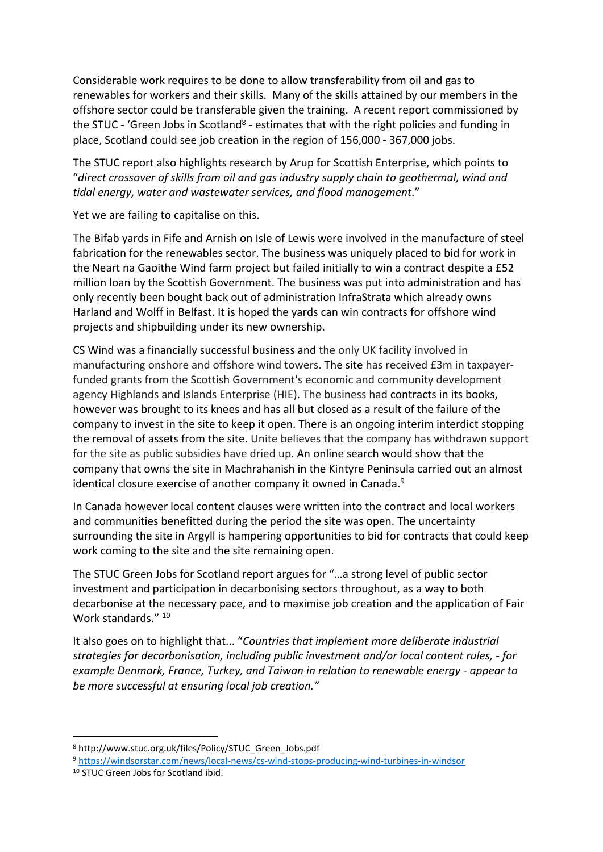Considerable work requires to be done to allow transferability from oil and gas to renewables for workers and their skills. Many of the skills attained by our members in the offshore sector could be transferable given the training. A recent report commissioned by the STUC - 'Green Jobs in Scotland<sup>8</sup> - estimates that with the right policies and funding in place, Scotland could see job creation in the region of 156,000 - 367,000 jobs.

The STUC report also highlights research by Arup for Scottish Enterprise, which points to "*direct crossover of skills from oil and gas industry supply chain to geothermal, wind and tidal energy, water and wastewater services, and flood management*."

Yet we are failing to capitalise on this.

The Bifab yards in Fife and Arnish on Isle of Lewis were involved in the manufacture of steel fabrication for the renewables sector. The business was uniquely placed to bid for work in the Neart na Gaoithe Wind farm project but failed initially to win a contract despite a £52 million loan by the Scottish Government. The business was put into administration and has only recently been bought back out of administration InfraStrata which already owns Harland and Wolff in Belfast. It is hoped the yards can win contracts for offshore wind projects and shipbuilding under its new ownership.

CS Wind was a financially successful business and the only UK facility involved in manufacturing onshore and offshore wind towers. The site has received £3m in taxpayerfunded grants from the Scottish Government's economic and community development agency Highlands and Islands Enterprise (HIE). The business had contracts in its books, however was brought to its knees and has all but closed as a result of the failure of the company to invest in the site to keep it open. There is an ongoing interim interdict stopping the removal of assets from the site. Unite believes that the company has withdrawn support for the site as public subsidies have dried up. An online search would show that the company that owns the site in Machrahanish in the Kintyre Peninsula carried out an almost identical closure exercise of another company it owned in Canada.<sup>9</sup>

In Canada however local content clauses were written into the contract and local workers and communities benefitted during the period the site was open. The uncertainty surrounding the site in Argyll is hampering opportunities to bid for contracts that could keep work coming to the site and the site remaining open.

The STUC Green Jobs for Scotland report argues for "…a strong level of public sector investment and participation in decarbonising sectors throughout, as a way to both decarbonise at the necessary pace, and to maximise job creation and the application of Fair Work standards." 10

It also goes on to highlight that... "*Countries that implement more deliberate industrial strategies for decarbonisation, including public investment and/or local content rules, - for example Denmark, France, Turkey, and Taiwan in relation to renewable energy - appear to be more successful at ensuring local job creation."*

<sup>8</sup> http://www.stuc.org.uk/files/Policy/STUC\_Green\_Jobs.pdf

<sup>9</sup> <https://windsorstar.com/news/local-news/cs-wind-stops-producing-wind-turbines-in-windsor>

<sup>10</sup> STUC Green Jobs for Scotland ibid.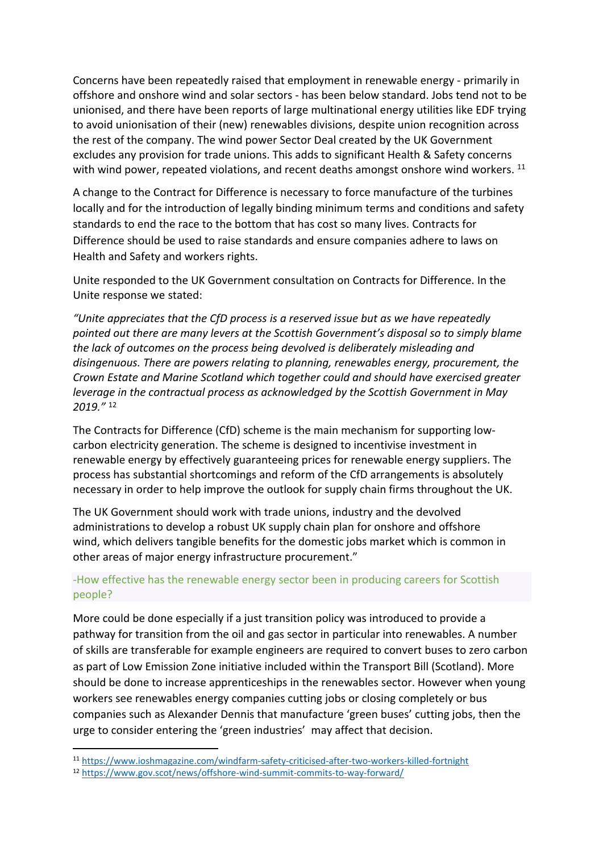Concerns have been repeatedly raised that employment in renewable energy - primarily in offshore and onshore wind and solar sectors - has been below standard. Jobs tend not to be unionised, and there have been reports of large multinational energy utilities like EDF trying to avoid unionisation of their (new) renewables divisions, despite union recognition across the rest of the company. The wind power Sector Deal created by the UK Government excludes any provision for trade unions. This adds to significant Health & Safety concerns with wind power, repeated violations, and recent deaths amongst onshore wind workers.  $^{11}$ 

A change to the Contract for Difference is necessary to force manufacture of the turbines locally and for the introduction of legally binding minimum terms and conditions and safety standards to end the race to the bottom that has cost so many lives. Contracts for Difference should be used to raise standards and ensure companies adhere to laws on Health and Safety and workers rights.

Unite responded to the UK Government consultation on Contracts for Difference. In the Unite response we stated:

*"Unite appreciates that the CfD process is a reserved issue but as we have repeatedly pointed out there are many levers at the Scottish Government's disposal so to simply blame the lack of outcomes on the process being devolved is deliberately misleading and disingenuous. There are powers relating to planning, renewables energy, procurement, the Crown Estate and Marine Scotland which together could and should have exercised greater leverage in the contractual process as acknowledged by the Scottish Government in May 2019."* <sup>12</sup>

The Contracts for Difference (CfD) scheme is the main mechanism for supporting lowcarbon electricity generation. The scheme is designed to incentivise investment in renewable energy by effectively guaranteeing prices for renewable energy suppliers. The process has substantial shortcomings and reform of the CfD arrangements is absolutely necessary in order to help improve the outlook for supply chain firms throughout the UK.

The UK Government should work with trade unions, industry and the devolved administrations to develop a robust UK supply chain plan for onshore and offshore wind, which delivers tangible benefits for the domestic jobs market which is common in other areas of major energy infrastructure procurement."

### -How effective has the renewable energy sector been in producing careers for Scottish people?

More could be done especially if a just transition policy was introduced to provide a pathway for transition from the oil and gas sector in particular into renewables. A number of skills are transferable for example engineers are required to convert buses to zero carbon as part of Low Emission Zone initiative included within the Transport Bill (Scotland). More should be done to increase apprenticeships in the renewables sector. However when young workers see renewables energy companies cutting jobs or closing completely or bus companies such as Alexander Dennis that manufacture 'green buses' cutting jobs, then the urge to consider entering the 'green industries' may affect that decision.

<sup>11</sup> <https://www.ioshmagazine.com/windfarm-safety-criticised-after-two-workers-killed-fortnight>

<sup>12</sup> <https://www.gov.scot/news/offshore-wind-summit-commits-to-way-forward/>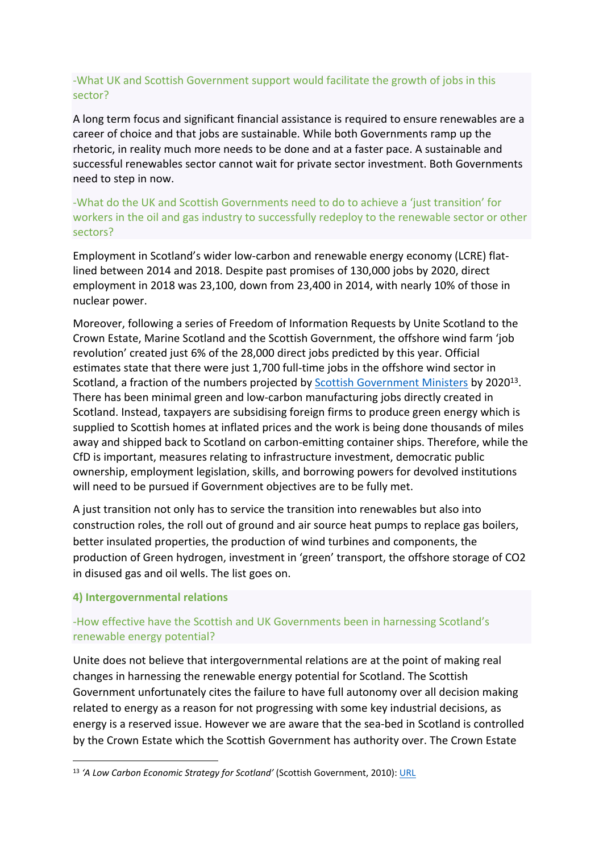# -What UK and Scottish Government support would facilitate the growth of jobs in this sector?

A long term focus and significant financial assistance is required to ensure renewables are a career of choice and that jobs are sustainable. While both Governments ramp up the rhetoric, in reality much more needs to be done and at a faster pace. A sustainable and successful renewables sector cannot wait for private sector investment. Both Governments need to step in now.

-What do the UK and Scottish Governments need to do to achieve a 'just transition' for workers in the oil and gas industry to successfully redeploy to the renewable sector or other sectors?

Employment in Scotland's wider low-carbon and renewable energy economy (LCRE) flatlined between 2014 and 2018. Despite past promises of 130,000 jobs by 2020, direct employment in 2018 was 23,100, down from 23,400 in 2014, with nearly 10% of those in nuclear power.

Moreover, following a series of Freedom of Information Requests by Unite Scotland to the Crown Estate, Marine Scotland and the Scottish Government, the offshore wind farm 'job revolution' created just 6% of the 28,000 direct jobs predicted by this year. Official estimates state that there were just 1,700 full-time jobs in the offshore wind sector in Scotland, a fraction of the numbers projected by **Scottish Government Ministers** by 2020<sup>13</sup>. There has been minimal green and low-carbon manufacturing jobs directly created in Scotland. Instead, taxpayers are subsidising foreign firms to produce green energy which is supplied to Scottish homes at inflated prices and the work is being done thousands of miles away and shipped back to Scotland on carbon-emitting container ships. Therefore, while the CfD is important, measures relating to infrastructure investment, democratic public ownership, employment legislation, skills, and borrowing powers for devolved institutions will need to be pursued if Government objectives are to be fully met.

A just transition not only has to service the transition into renewables but also into construction roles, the roll out of ground and air source heat pumps to replace gas boilers, better insulated properties, the production of wind turbines and components, the production of Green hydrogen, investment in 'green' transport, the offshore storage of CO2 in disused gas and oil wells. The list goes on.

#### **4) Intergovernmental relations**

# -How effective have the Scottish and UK Governments been in harnessing Scotland's renewable energy potential?

Unite does not believe that intergovernmental relations are at the point of making real changes in harnessing the renewable energy potential for Scotland. The Scottish Government unfortunately cites the failure to have full autonomy over all decision making related to energy as a reason for not progressing with some key industrial decisions, as energy is a reserved issue. However we are aware that the sea-bed in Scotland is controlled by the Crown Estate which the Scottish Government has authority over. The Crown Estate

<sup>13</sup> *'A Low Carbon Economic Strategy for Scotland'* (Scottish Government, 2010): [URL](https://www.webarchive.org.uk/wayback/archive/3000/https:/www.gov.scot/resource/doc/331364/0107855.pdf)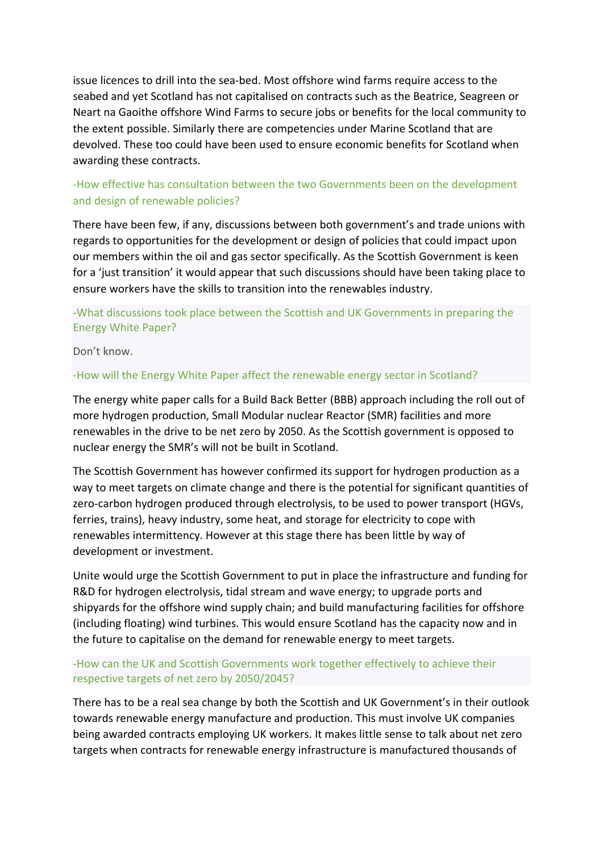issue licences to drill into the sea-bed. Most offshore wind farms require access to the seabed and yet Scotland has not capitalised on contracts such as the Beatrice, Seagreen or Neart na Gaoithe offshore Wind Farms to secure jobs or benefits for the local community to the extent possible. Similarly there are competencies under Marine Scotland that are devolved. These too could have been used to ensure economic benefits for Scotland when awarding these contracts.

# -How effective has consultation between the two Governments been on the development and design of renewable policies?

There have been few, if any, discussions between both government's and trade unions with regards to opportunities for the development or design of policies that could impact upon our members within the oil and gas sector specifically. As the Scottish Government is keen for a 'just transition' it would appear that such discussions should have been taking place to ensure workers have the skills to transition into the renewables industry.

# -What discussions took place between the Scottish and UK Governments in preparing the Energy White Paper?

Don't know.

### -How will the Energy White Paper affect the renewable energy sector in Scotland?

The energy white paper calls for a Build Back Better (BBB) approach including the roll out of more hydrogen production, Small Modular nuclear Reactor (SMR) facilities and more renewables in the drive to be net zero by 2050. As the Scottish government is opposed to nuclear energy the SMR's will not be built in Scotland.

The Scottish Government has however confirmed its support for hydrogen production as a way to meet targets on climate change and there is the potential for significant quantities of zero-carbon hydrogen produced through electrolysis, to be used to power transport (HGVs, ferries, trains), heavy industry, some heat, and storage for electricity to cope with renewables intermittency. However at this stage there has been little by way of development or investment.

Unite would urge the Scottish Government to put in place the infrastructure and funding for R&D for hydrogen electrolysis, tidal stream and wave energy; to upgrade ports and shipyards for the offshore wind supply chain; and build manufacturing facilities for offshore (including floating) wind turbines. This would ensure Scotland has the capacity now and in the future to capitalise on the demand for renewable energy to meet targets.

### -How can the UK and Scottish Governments work together effectively to achieve their respective targets of net zero by 2050/2045?

There has to be a real sea change by both the Scottish and UK Government's in their outlook towards renewable energy manufacture and production. This must involve UK companies being awarded contracts employing UK workers. It makes little sense to talk about net zero targets when contracts for renewable energy infrastructure is manufactured thousands of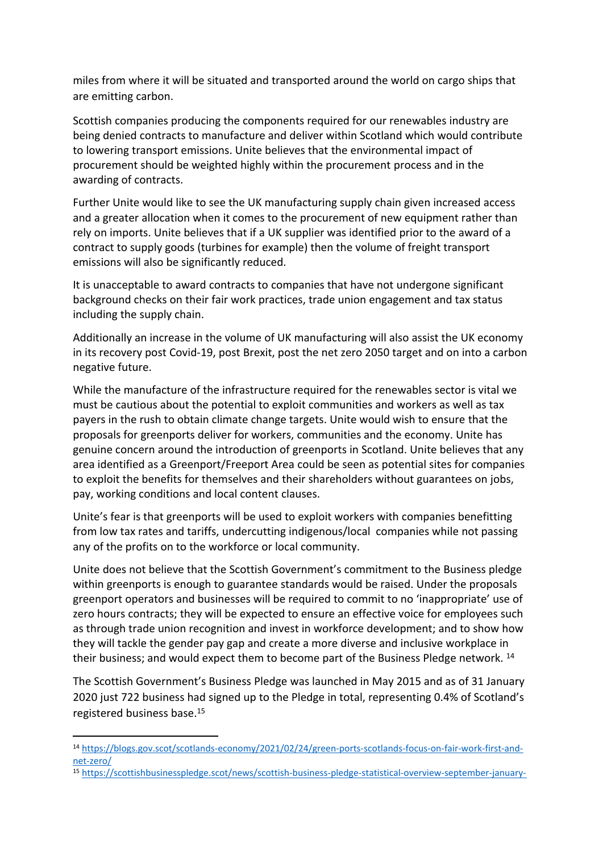miles from where it will be situated and transported around the world on cargo ships that are emitting carbon.

Scottish companies producing the components required for our renewables industry are being denied contracts to manufacture and deliver within Scotland which would contribute to lowering transport emissions. Unite believes that the environmental impact of procurement should be weighted highly within the procurement process and in the awarding of contracts.

Further Unite would like to see the UK manufacturing supply chain given increased access and a greater allocation when it comes to the procurement of new equipment rather than rely on imports. Unite believes that if a UK supplier was identified prior to the award of a contract to supply goods (turbines for example) then the volume of freight transport emissions will also be significantly reduced.

It is unacceptable to award contracts to companies that have not undergone significant background checks on their fair work practices, trade union engagement and tax status including the supply chain.

Additionally an increase in the volume of UK manufacturing will also assist the UK economy in its recovery post Covid-19, post Brexit, post the net zero 2050 target and on into a carbon negative future.

While the manufacture of the infrastructure required for the renewables sector is vital we must be cautious about the potential to exploit communities and workers as well as tax payers in the rush to obtain climate change targets. Unite would wish to ensure that the proposals for greenports deliver for workers, communities and the economy. Unite has genuine concern around the introduction of greenports in Scotland. Unite believes that any area identified as a Greenport/Freeport Area could be seen as potential sites for companies to exploit the benefits for themselves and their shareholders without guarantees on jobs, pay, working conditions and local content clauses.

Unite's fear is that greenports will be used to exploit workers with companies benefitting from low tax rates and tariffs, undercutting indigenous/local companies while not passing any of the profits on to the workforce or local community.

Unite does not believe that the Scottish Government's commitment to the Business pledge within greenports is enough to guarantee standards would be raised. Under the proposals greenport operators and businesses will be required to commit to no 'inappropriate' use of zero hours contracts; they will be expected to ensure an effective voice for employees such as through trade union recognition and invest in workforce development; and to show how they will tackle the gender pay gap and create a more diverse and inclusive workplace in their business; and would expect them to become part of the Business Pledge network.<sup>14</sup>

The Scottish Government's Business Pledge was launched in May 2015 and as of 31 January 2020 just 722 business had signed up to the Pledge in total, representing 0.4% of Scotland's registered business base.<sup>15</sup>

<sup>15</sup> [https://scottishbusinesspledge.scot/news/scottish-business-pledge-statistical-overview-september-january-](https://scottishbusinesspledge.scot/news/scottish-business-pledge-statistical-overview-september-january-2020/)

<sup>14</sup> [https://blogs.gov.scot/scotlands-economy/2021/02/24/green-ports-scotlands-focus-on-fair-work-first-and](https://blogs.gov.scot/scotlands-economy/2021/02/24/green-ports-scotlands-focus-on-fair-work-first-and-net-zero/)[net-zero/](https://blogs.gov.scot/scotlands-economy/2021/02/24/green-ports-scotlands-focus-on-fair-work-first-and-net-zero/)